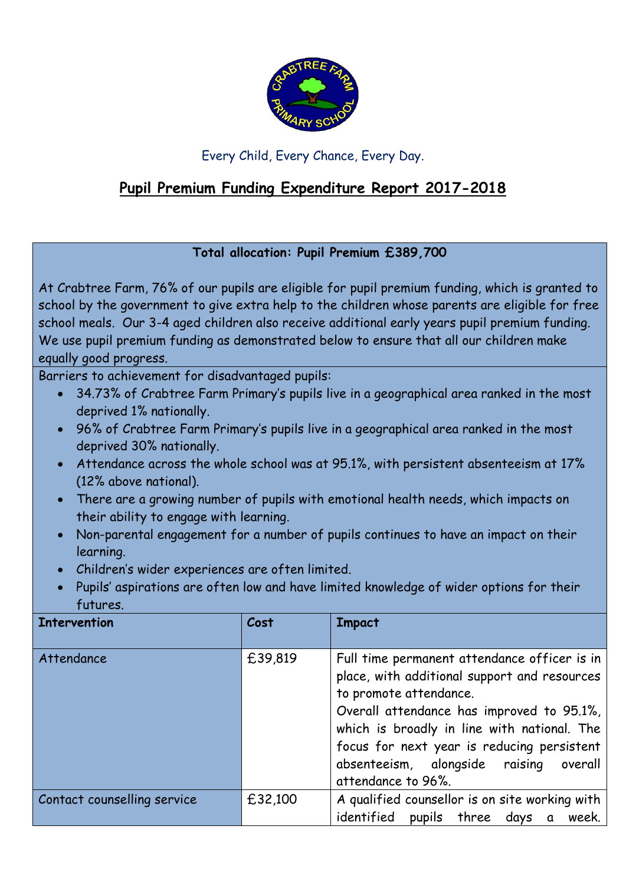

## Every Child, Every Chance, Every Day.

## **Pupil Premium Funding Expenditure Report 2017-2018**

## **Total allocation: Pupil Premium £389,700**

At Crabtree Farm, 76% of our pupils are eligible for pupil premium funding, which is granted to school by the government to give extra help to the children whose parents are eligible for free school meals. Our 3-4 aged children also receive additional early years pupil premium funding. We use pupil premium funding as demonstrated below to ensure that all our children make equally good progress.

Barriers to achievement for disadvantaged pupils:

- 34.73% of Crabtree Farm Primary's pupils live in a geographical area ranked in the most deprived 1% nationally.
- 96% of Crabtree Farm Primary's pupils live in a geographical area ranked in the most deprived 30% nationally.
- Attendance across the whole school was at 95.1%, with persistent absenteeism at 17% (12% above national).
- There are a growing number of pupils with emotional health needs, which impacts on their ability to engage with learning.
- Non-parental engagement for a number of pupils continues to have an impact on their learning.
- Children's wider experiences are often limited.
- Pupils' aspirations are often low and have limited knowledge of wider options for their futures.

| <b>Intervention</b>         | Cost    | <b>Impact</b>                                                                                                                                                                                                                                                                                                                       |
|-----------------------------|---------|-------------------------------------------------------------------------------------------------------------------------------------------------------------------------------------------------------------------------------------------------------------------------------------------------------------------------------------|
| Attendance                  | £39,819 | Full time permanent attendance officer is in<br>place, with additional support and resources<br>to promote attendance.<br>Overall attendance has improved to 95.1%,<br>which is broadly in line with national. The<br>focus for next year is reducing persistent<br>absenteeism, alongside raising<br>overall<br>attendance to 96%. |
| Contact counselling service | £32,100 | A qualified counsellor is on site working with<br>identified pupils three days a week.                                                                                                                                                                                                                                              |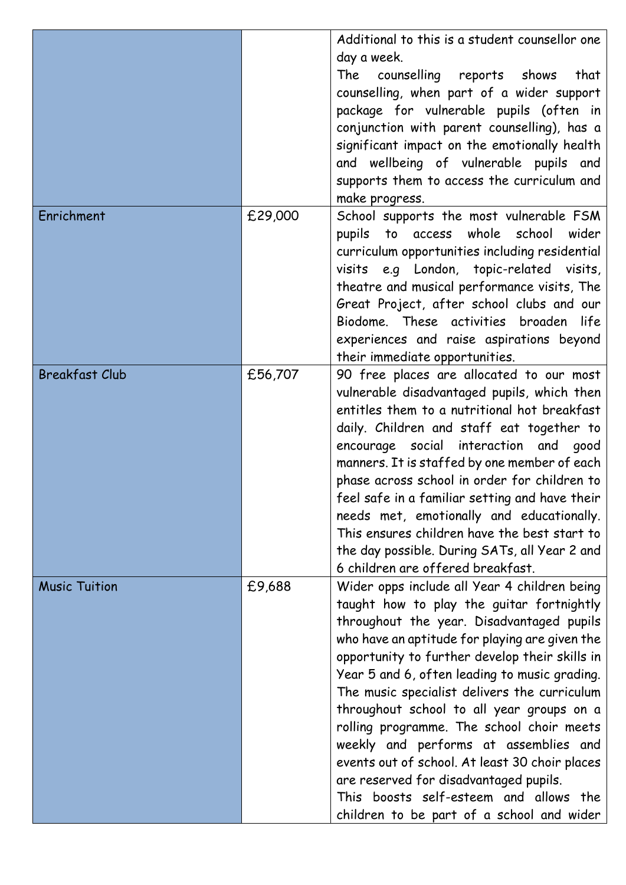|                       |         | Additional to this is a student counsellor one<br>day a week.<br>counselling reports shows<br>The<br>that<br>counselling, when part of a wider support<br>package for vulnerable pupils (often in<br>conjunction with parent counselling), has a<br>significant impact on the emotionally health<br>and wellbeing of vulnerable pupils and<br>supports them to access the curriculum and<br>make progress.                                                                                                                                                                                                                                                        |
|-----------------------|---------|-------------------------------------------------------------------------------------------------------------------------------------------------------------------------------------------------------------------------------------------------------------------------------------------------------------------------------------------------------------------------------------------------------------------------------------------------------------------------------------------------------------------------------------------------------------------------------------------------------------------------------------------------------------------|
| Enrichment            | £29,000 | School supports the most vulnerable FSM<br>pupils to access whole school<br>wider<br>curriculum opportunities including residential<br>visits e.g London, topic-related visits,<br>theatre and musical performance visits, The<br>Great Project, after school clubs and our<br>Biodome. These activities broaden life<br>experiences and raise aspirations beyond<br>their immediate opportunities.                                                                                                                                                                                                                                                               |
| <b>Breakfast Club</b> | £56,707 | 90 free places are allocated to our most<br>vulnerable disadvantaged pupils, which then<br>entitles them to a nutritional hot breakfast<br>daily. Children and staff eat together to<br>encourage social interaction and<br>good<br>manners. It is staffed by one member of each<br>phase across school in order for children to<br>feel safe in a familiar setting and have their<br>needs met, emotionally and educationally.<br>This ensures children have the best start to<br>the day possible. During SATs, all Year 2 and<br>6 children are offered breakfast.                                                                                             |
| <b>Music Tuition</b>  | £9,688  | Wider opps include all Year 4 children being<br>taught how to play the guitar fortnightly<br>throughout the year. Disadvantaged pupils<br>who have an aptitude for playing are given the<br>opportunity to further develop their skills in<br>Year 5 and 6, often leading to music grading.<br>The music specialist delivers the curriculum<br>throughout school to all year groups on a<br>rolling programme. The school choir meets<br>weekly and performs at assemblies and<br>events out of school. At least 30 choir places<br>are reserved for disadvantaged pupils.<br>This boosts self-esteem and allows the<br>children to be part of a school and wider |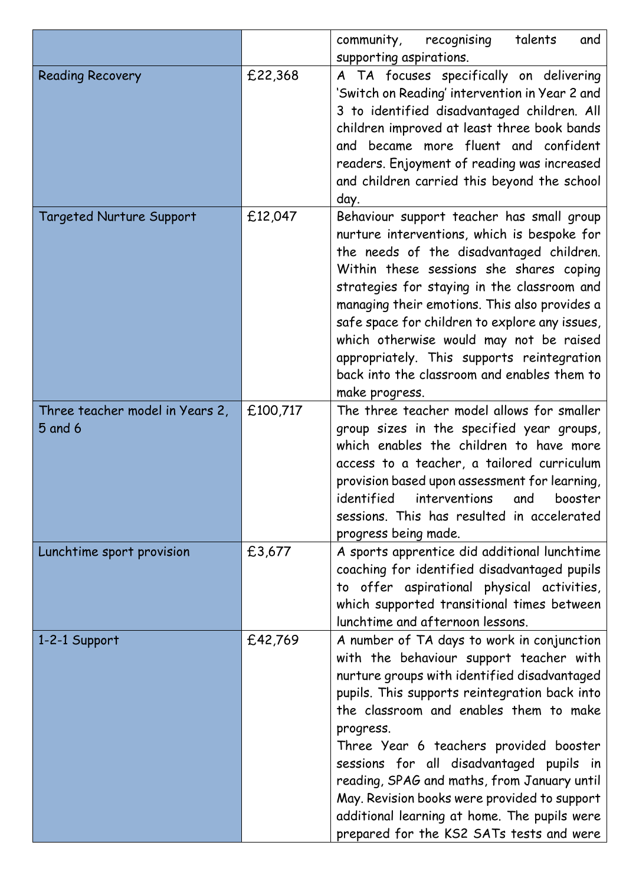|                                            |          | recognising<br>talents<br>community,<br>and                                                                                                                                                                                                                                                                                                                                                                                                                                                                                    |
|--------------------------------------------|----------|--------------------------------------------------------------------------------------------------------------------------------------------------------------------------------------------------------------------------------------------------------------------------------------------------------------------------------------------------------------------------------------------------------------------------------------------------------------------------------------------------------------------------------|
|                                            |          | supporting aspirations.                                                                                                                                                                                                                                                                                                                                                                                                                                                                                                        |
| <b>Reading Recovery</b>                    | £22,368  | A TA focuses specifically on delivering<br>'Switch on Reading' intervention in Year 2 and<br>3 to identified disadvantaged children. All<br>children improved at least three book bands<br>and became more fluent and confident<br>readers. Enjoyment of reading was increased<br>and children carried this beyond the school<br>day.                                                                                                                                                                                          |
| <b>Targeted Nurture Support</b>            | £12,047  | Behaviour support teacher has small group<br>nurture interventions, which is bespoke for<br>the needs of the disadvantaged children.<br>Within these sessions she shares coping<br>strategies for staying in the classroom and<br>managing their emotions. This also provides a<br>safe space for children to explore any issues,<br>which otherwise would may not be raised<br>appropriately. This supports reintegration<br>back into the classroom and enables them to<br>make progress.                                    |
| Three teacher model in Years 2,<br>5 and 6 | £100,717 | The three teacher model allows for smaller<br>group sizes in the specified year groups,<br>which enables the children to have more<br>access to a teacher, a tailored curriculum<br>provision based upon assessment for learning,<br>identified interventions and booster<br>sessions. This has resulted in accelerated<br>progress being made.                                                                                                                                                                                |
| Lunchtime sport provision                  | £3,677   | A sports apprentice did additional lunchtime<br>coaching for identified disadvantaged pupils<br>to offer aspirational physical activities,<br>which supported transitional times between<br>lunchtime and afternoon lessons.                                                                                                                                                                                                                                                                                                   |
| 1-2-1 Support                              | £42,769  | A number of TA days to work in conjunction<br>with the behaviour support teacher with<br>nurture groups with identified disadvantaged<br>pupils. This supports reintegration back into<br>the classroom and enables them to make<br>progress.<br>Three Year 6 teachers provided booster<br>sessions for all disadvantaged pupils in<br>reading, SPAG and maths, from January until<br>May. Revision books were provided to support<br>additional learning at home. The pupils were<br>prepared for the KS2 SATs tests and were |